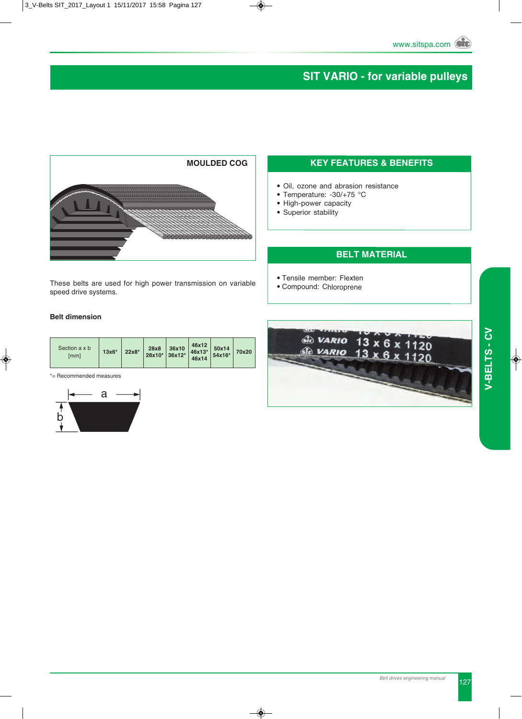# **SIT VARIO - for variable pulleys**



These belts are used for high power transmission on variable speed drive systems.

### **Belt dimension**

| Section a x b<br>$22x8*$<br>$13x6*$<br>[mm] | 36x10<br>28x8<br>$28x10^*$ 36x12* | 46x12<br>50x14<br>46x13*<br>54x16*<br>46x14 | 70x20 |
|---------------------------------------------|-----------------------------------|---------------------------------------------|-------|
|---------------------------------------------|-----------------------------------|---------------------------------------------|-------|

\*= Recommended measures



## **KEY FEATURES & BENEFITS**

- Oil, ozone and abrasion resistance
- Temperature: -30/+75 °C
- High-power capacity
- Superior stability

#### **BELT MATERIAL**

- Tensile member: Flexten
- Compound: Chloroprene